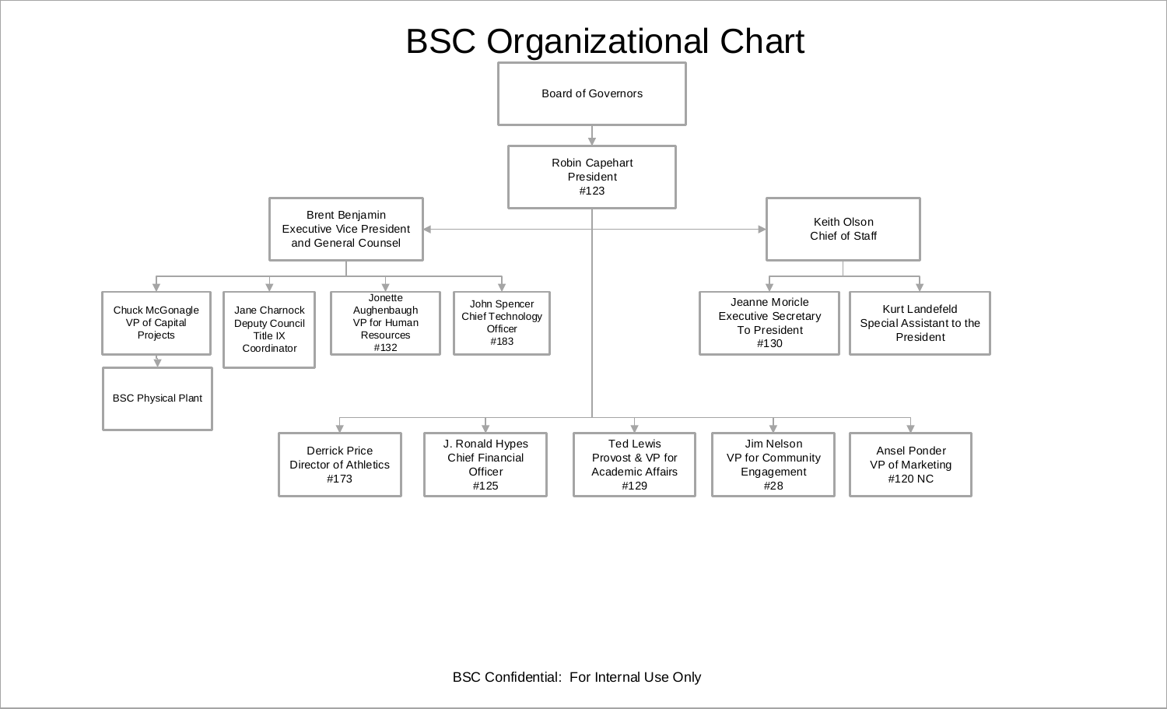# BSC Organizational Chart

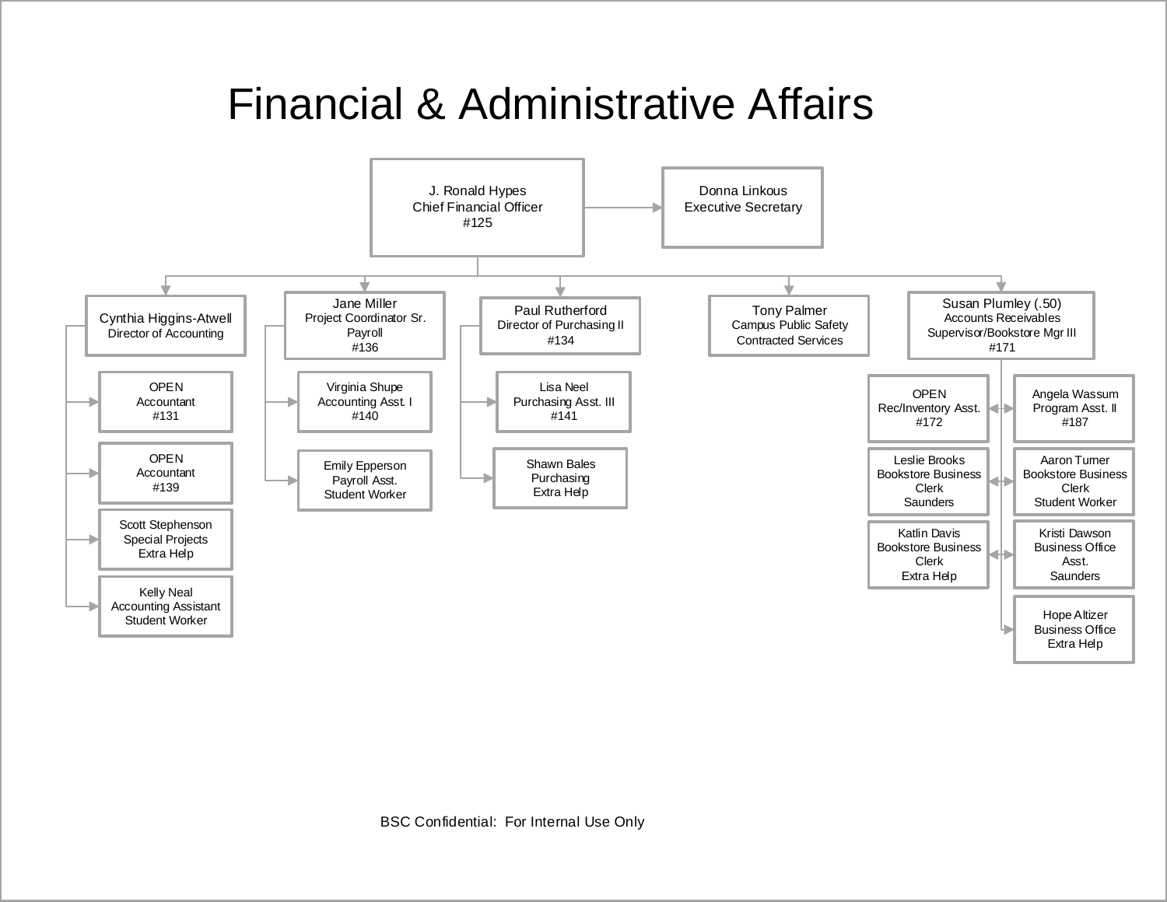# Financial & Administrative Affairs

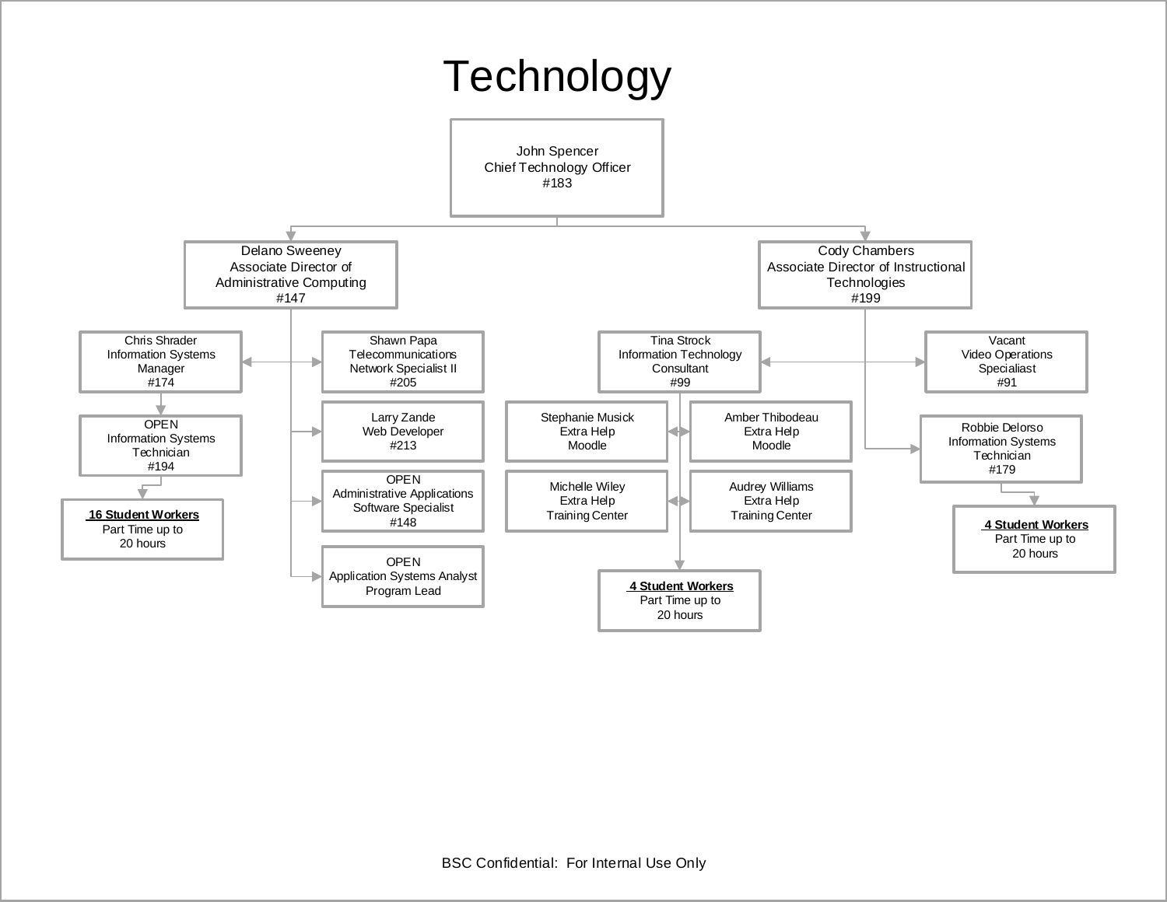## **Technology**

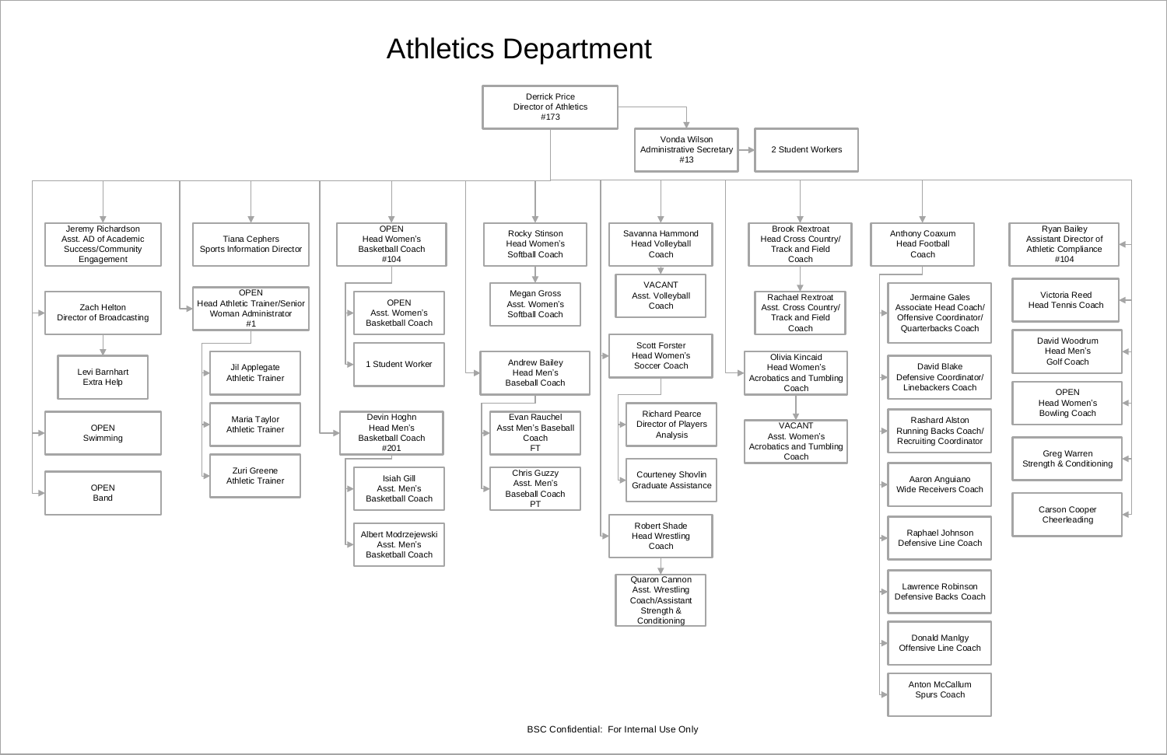# Athletics Department

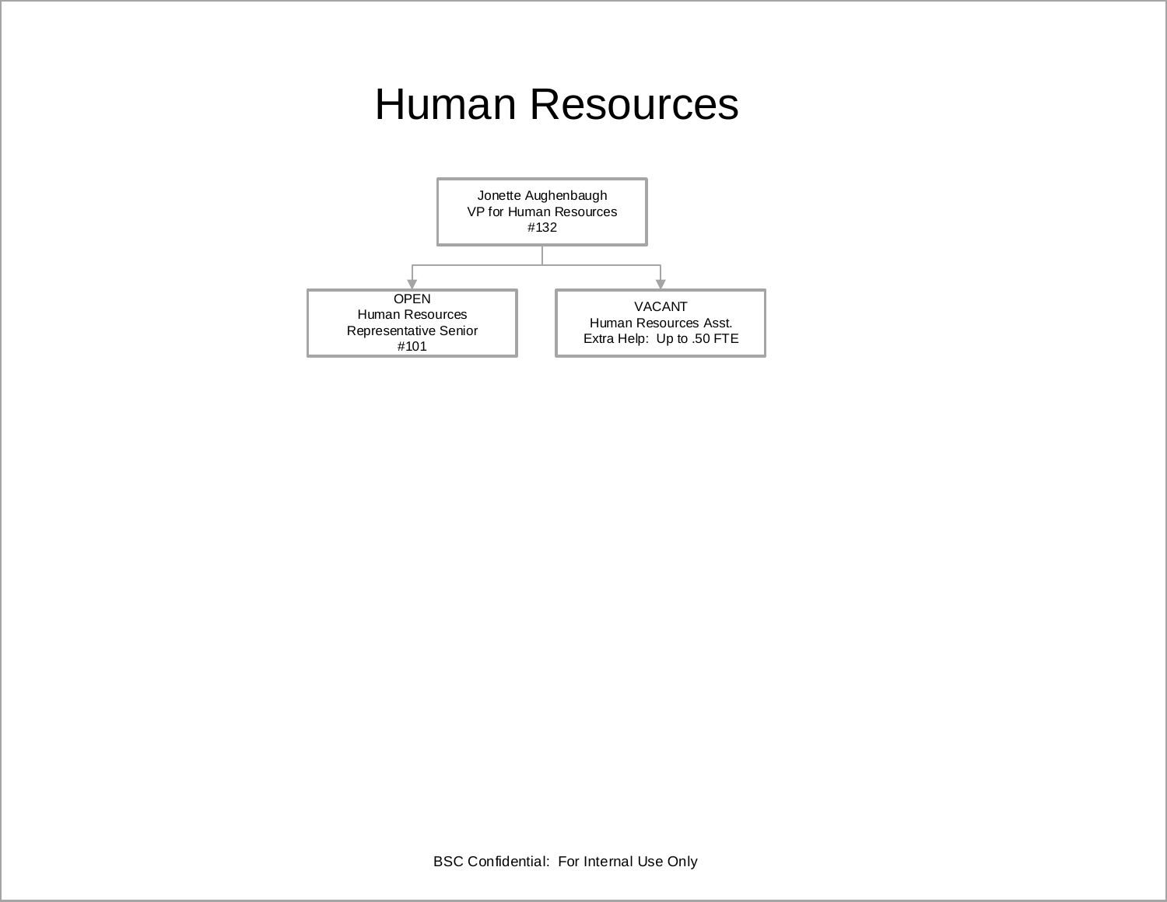# Human Resources

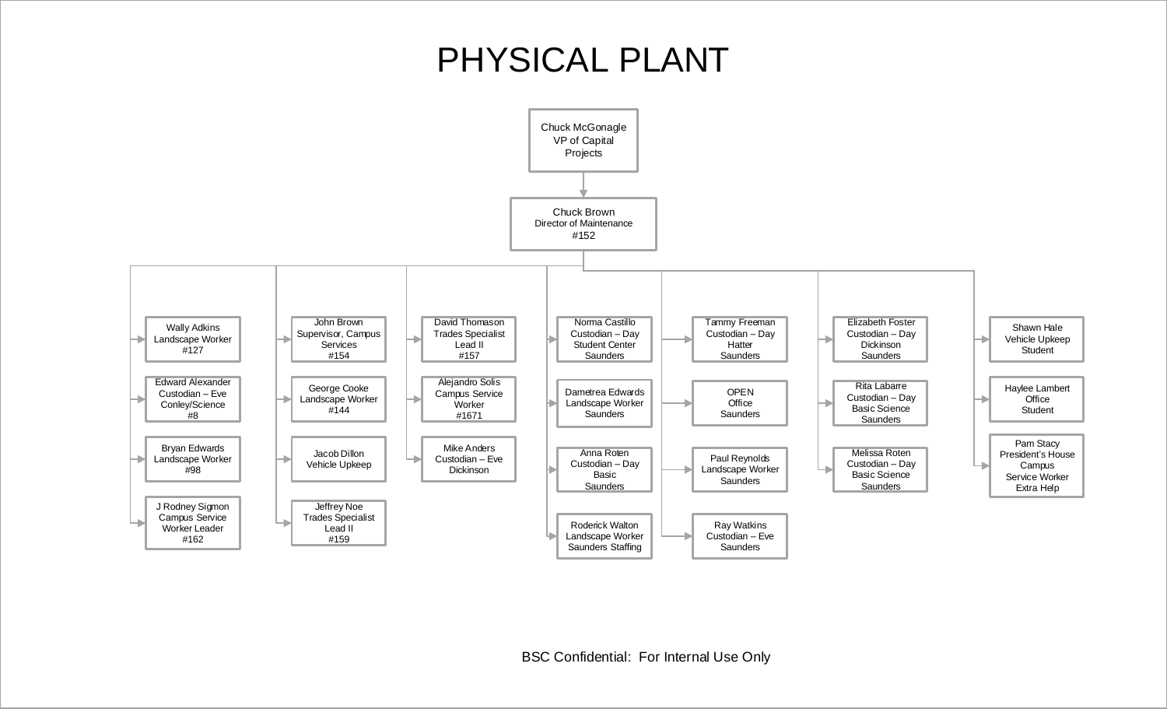#### PHYSICAL PLANT

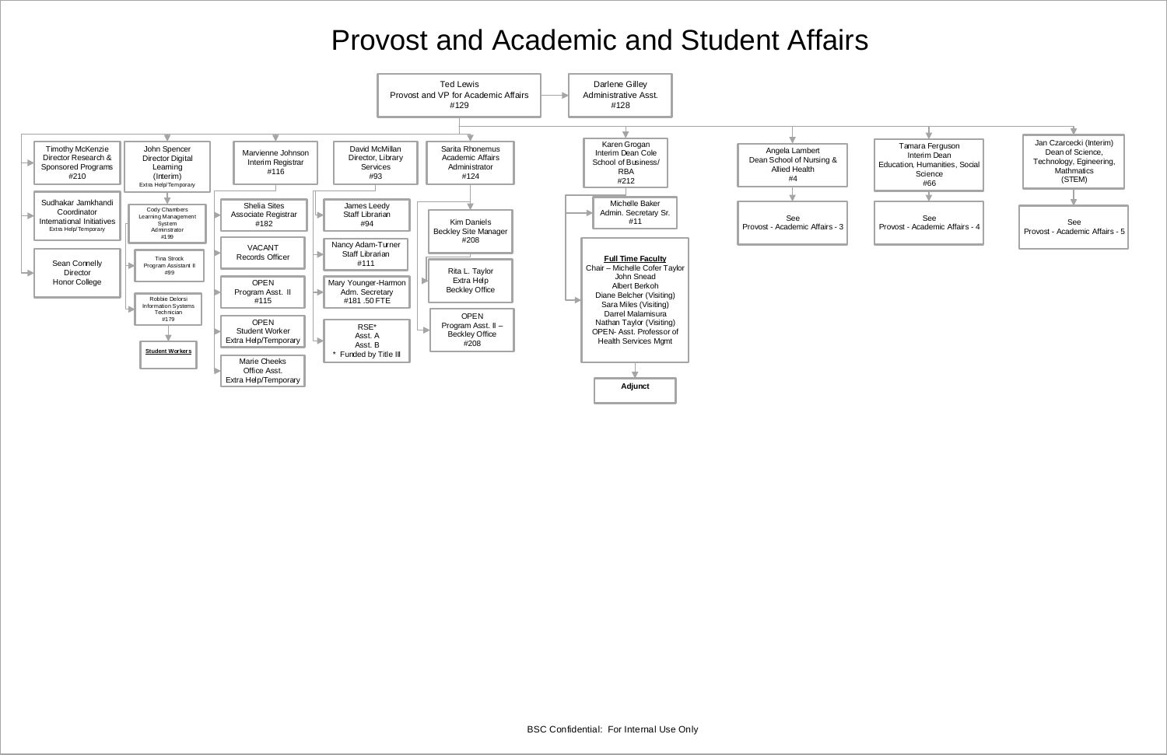

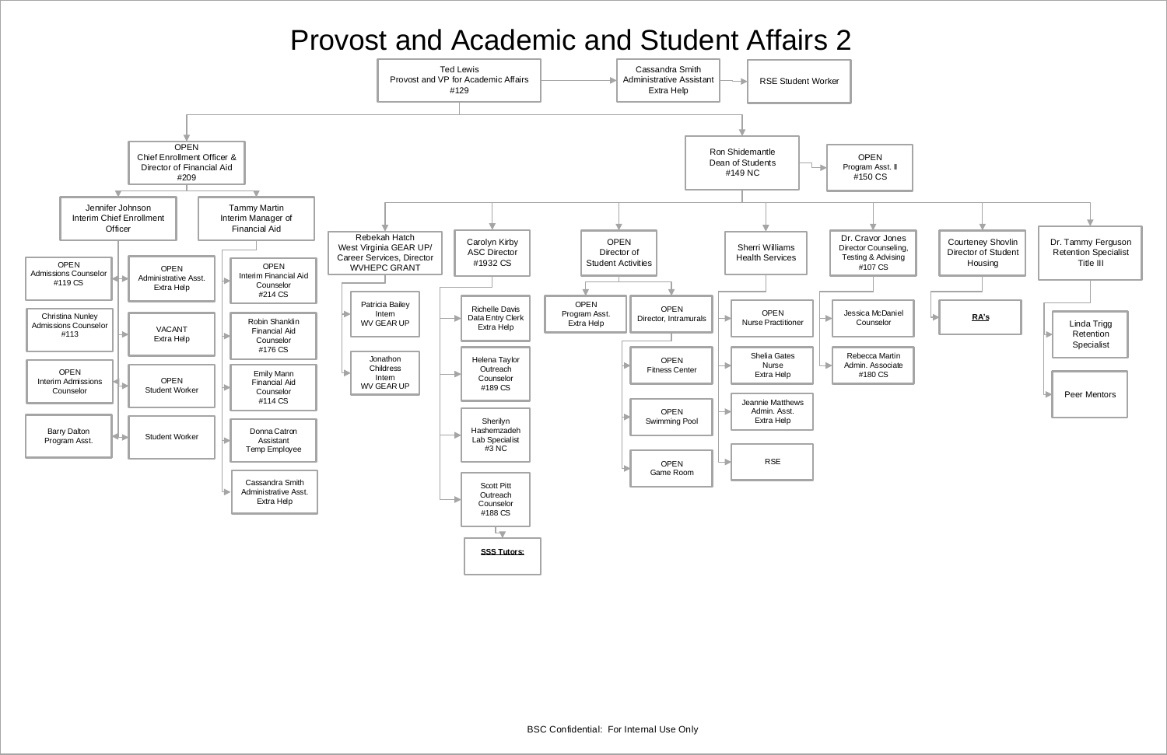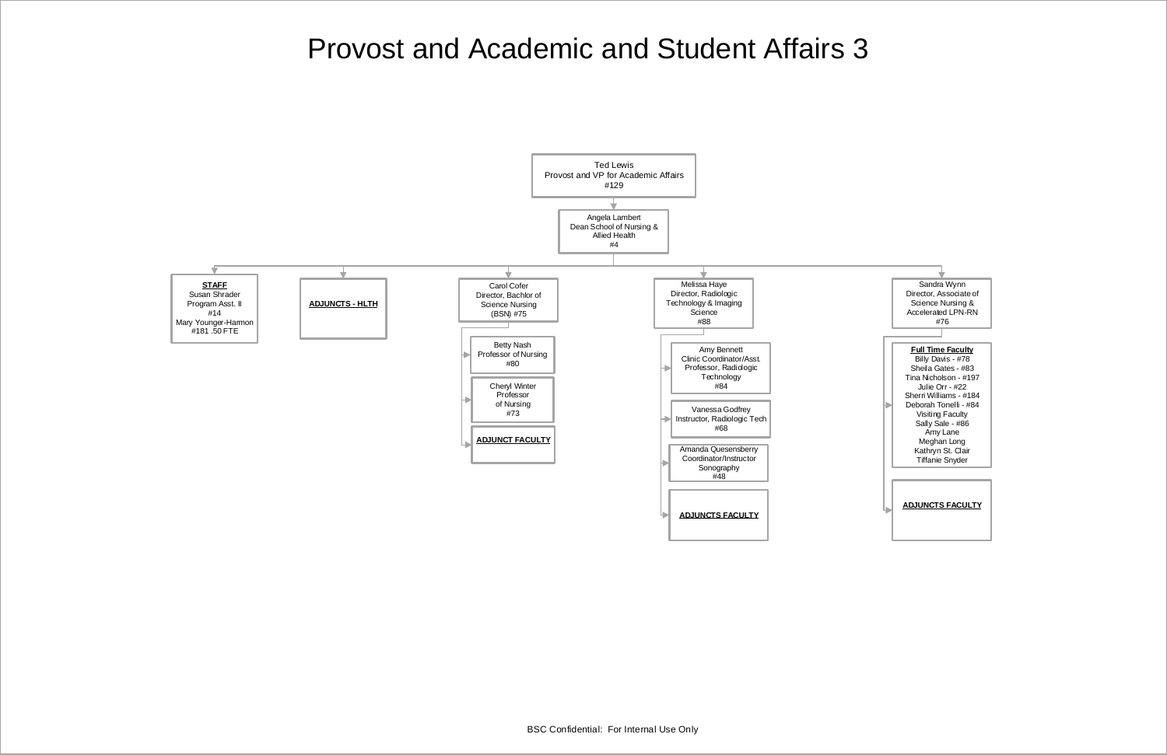

#### **ADJUNCTS FACULTY**

Sandra Wynn Director, Associate of Science Nursing & Accelerated LPN-RN #76 **Full Time Faculty** Billy Davis - #78 Sheila Gates - #83 Tina Nicholson - #197 Julie Orr - #22 Sherri Williams - #184 Deborah Tonelli - #84 Visiting Faculty Sally Sale - #86 Amy Lane Meghan Long Kathryn St. Clair Tiffanie Snyder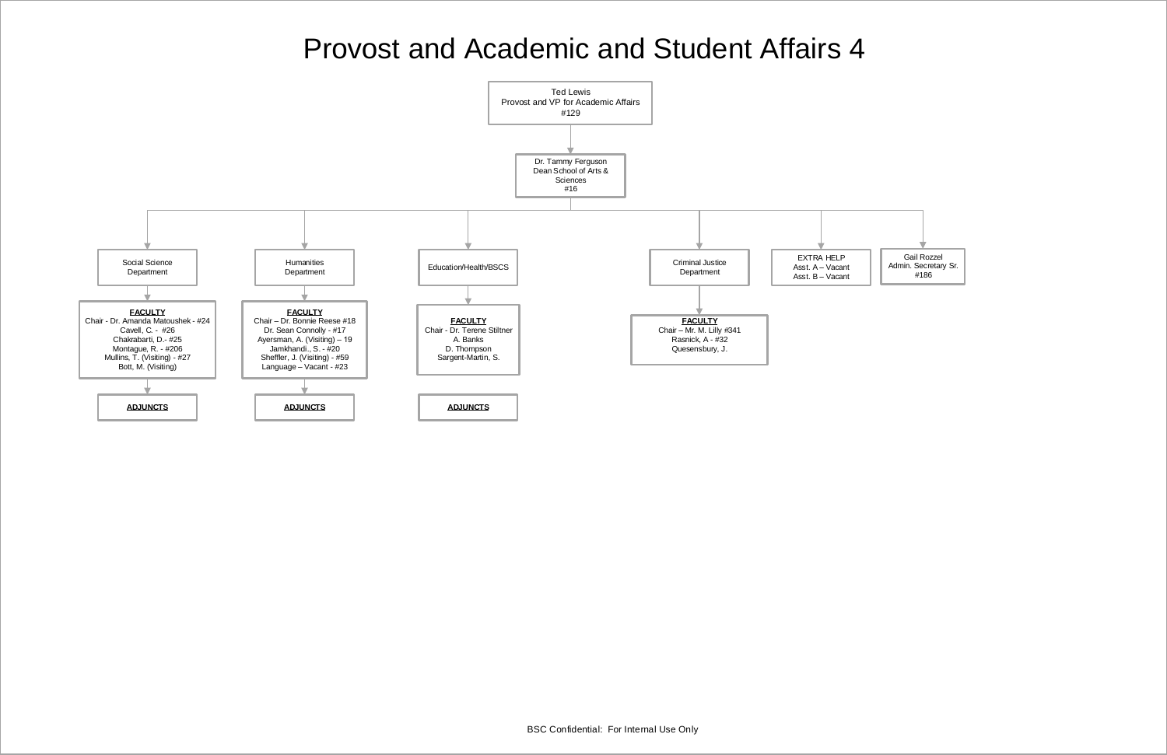